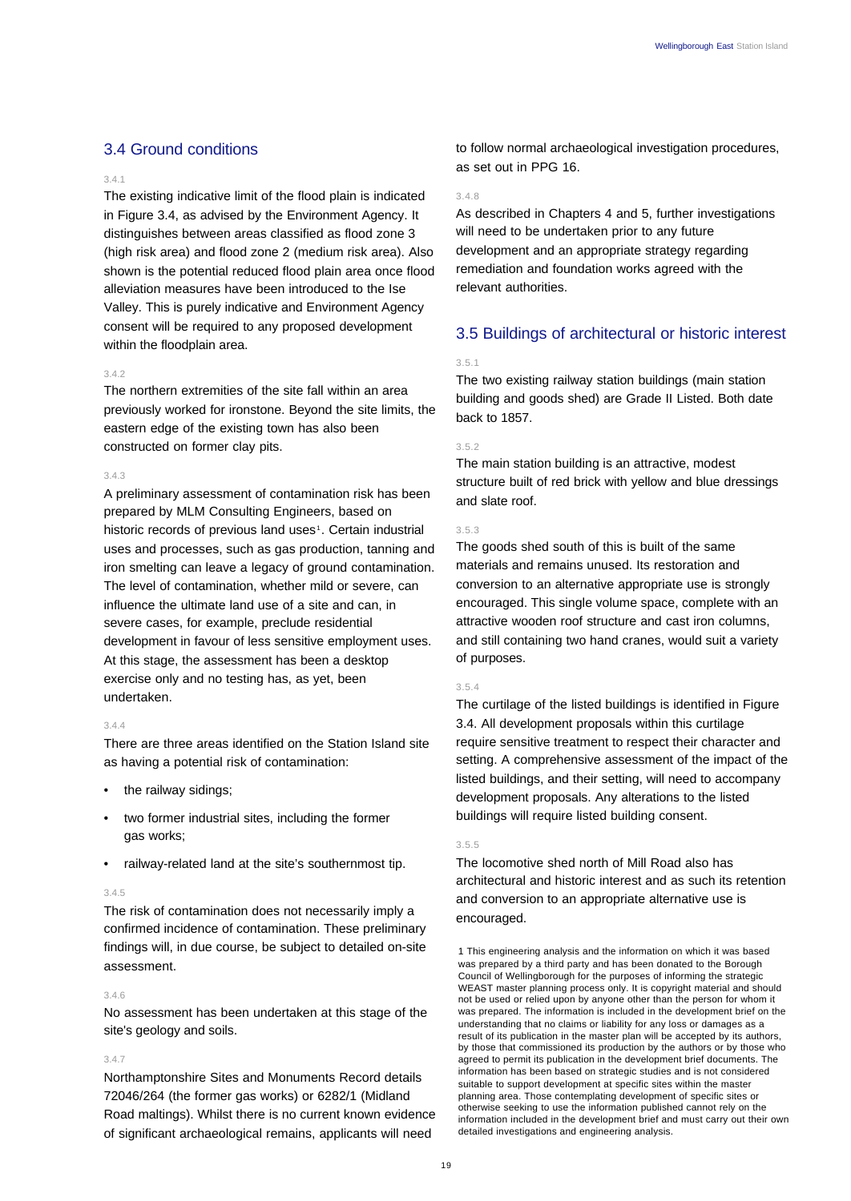# 3.4 Ground conditions

#### 3.4.1

The existing indicative limit of the flood plain is indicated in Figure 3.4, as advised by the Environment Agency. It distinguishes between areas classified as flood zone 3 (high risk area) and flood zone 2 (medium risk area). Also shown is the potential reduced flood plain area once flood alleviation measures have been introduced to the Ise Valley. This is purely indicative and Environment Agency consent will be required to any proposed development within the floodplain area.

## $3.4.2$

The northern extremities of the site fall within an area previously worked for ironstone. Beyond the site limits, the eastern edge of the existing town has also been constructed on former clay pits.

### 3.4.3

A preliminary assessment of contamination risk has been prepared by MLM Consulting Engineers, based on historic records of previous land uses<sup>1</sup>. Certain industrial uses and processes, such as gas production, tanning and iron smelting can leave a legacy of ground contamination. The level of contamination, whether mild or severe, can influence the ultimate land use of a site and can, in severe cases, for example, preclude residential development in favour of less sensitive employment uses. At this stage, the assessment has been a desktop exercise only and no testing has, as yet, been undertaken.

### 3.4.4

There are three areas identified on the Station Island site as having a potential risk of contamination:

- the railway sidings;
- two former industrial sites, including the former gas works;
- railway-related land at the site's southernmost tip.

### 3.4.5

The risk of contamination does not necessarily imply a confirmed incidence of contamination. These preliminary findings will, in due course, be subject to detailed on-site assessment.

## 3.4.6

No assessment has been undertaken at this stage of the site's geology and soils.

### 3.4.7

Northamptonshire Sites and Monuments Record details 72046/264 (the former gas works) or 6282/1 (Midland Road maltings). Whilst there is no current known evidence of significant archaeological remains, applicants will need

to follow normal archaeological investigation procedures, as set out in PPG 16.

#### 3.4.8

As described in Chapters 4 and 5, further investigations will need to be undertaken prior to any future development and an appropriate strategy regarding remediation and foundation works agreed with the relevant authorities.

# 3.5 Buildings of architectural or historic interest

### 3.5.1

The two existing railway station buildings (main station building and goods shed) are Grade II Listed. Both date back to 1857.

## 3.5.2

The main station building is an attractive, modest structure built of red brick with yellow and blue dressings and slate roof.

### 3.5.3

The goods shed south of this is built of the same materials and remains unused. Its restoration and conversion to an alternative appropriate use is strongly encouraged. This single volume space, complete with an attractive wooden roof structure and cast iron columns, and still containing two hand cranes, would suit a variety of purposes.

#### 3.5.4

The curtilage of the listed buildings is identified in Figure 3.4. All development proposals within this curtilage require sensitive treatment to respect their character and setting. A comprehensive assessment of the impact of the listed buildings, and their setting, will need to accompany development proposals. Any alterations to the listed buildings will require listed building consent.

### 3.5.5

The locomotive shed north of Mill Road also has architectural and historic interest and as such its retention and conversion to an appropriate alternative use is encouraged.

1 This engineering analysis and the information on which it was based was prepared by a third party and has been donated to the Borough Council of Wellingborough for the purposes of informing the strategic WEAST master planning process only. It is copyright material and should not be used or relied upon by anyone other than the person for whom it was prepared. The information is included in the development brief on the understanding that no claims or liability for any loss or damages as a result of its publication in the master plan will be accepted by its authors, by those that commissioned its production by the authors or by those who agreed to permit its publication in the development brief documents. The information has been based on strategic studies and is not considered suitable to support development at specific sites within the master planning area. Those contemplating development of specific sites or otherwise seeking to use the information published cannot rely on the information included in the development brief and must carry out their own detailed investigations and engineering analysis.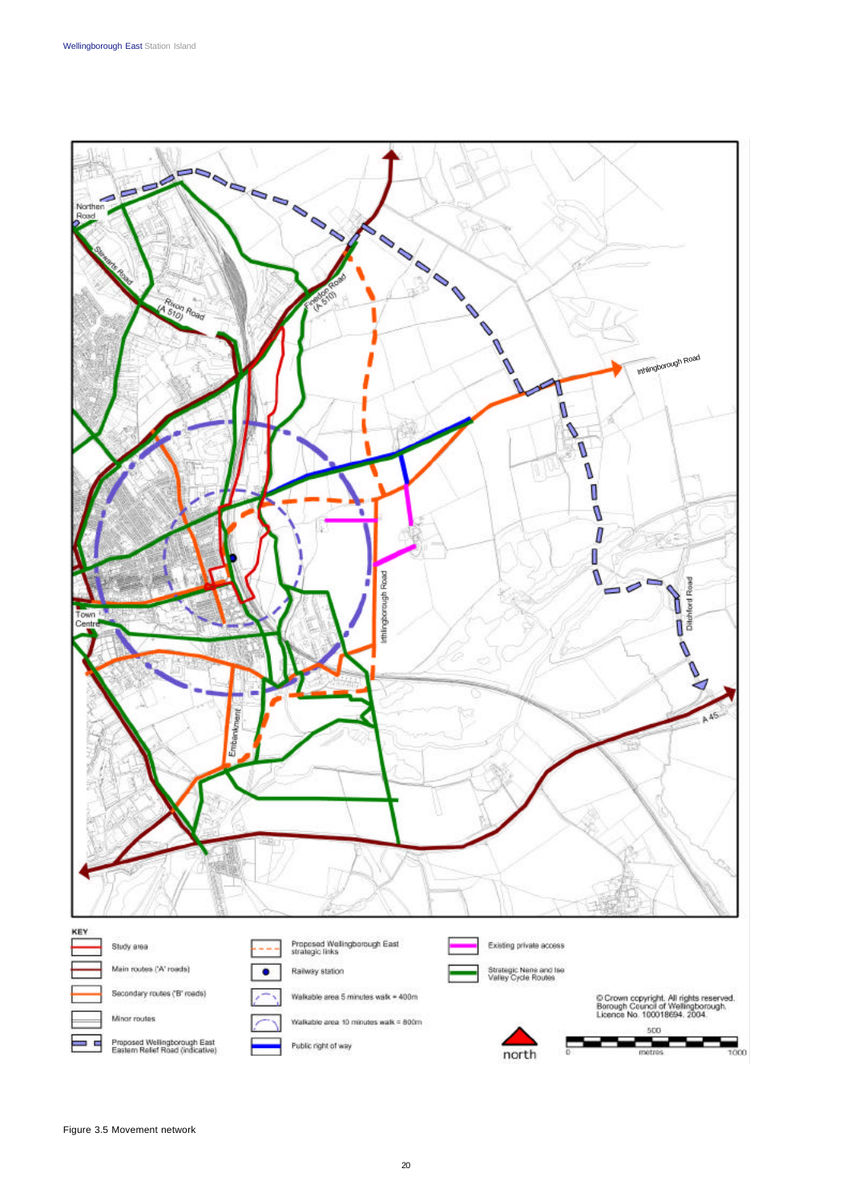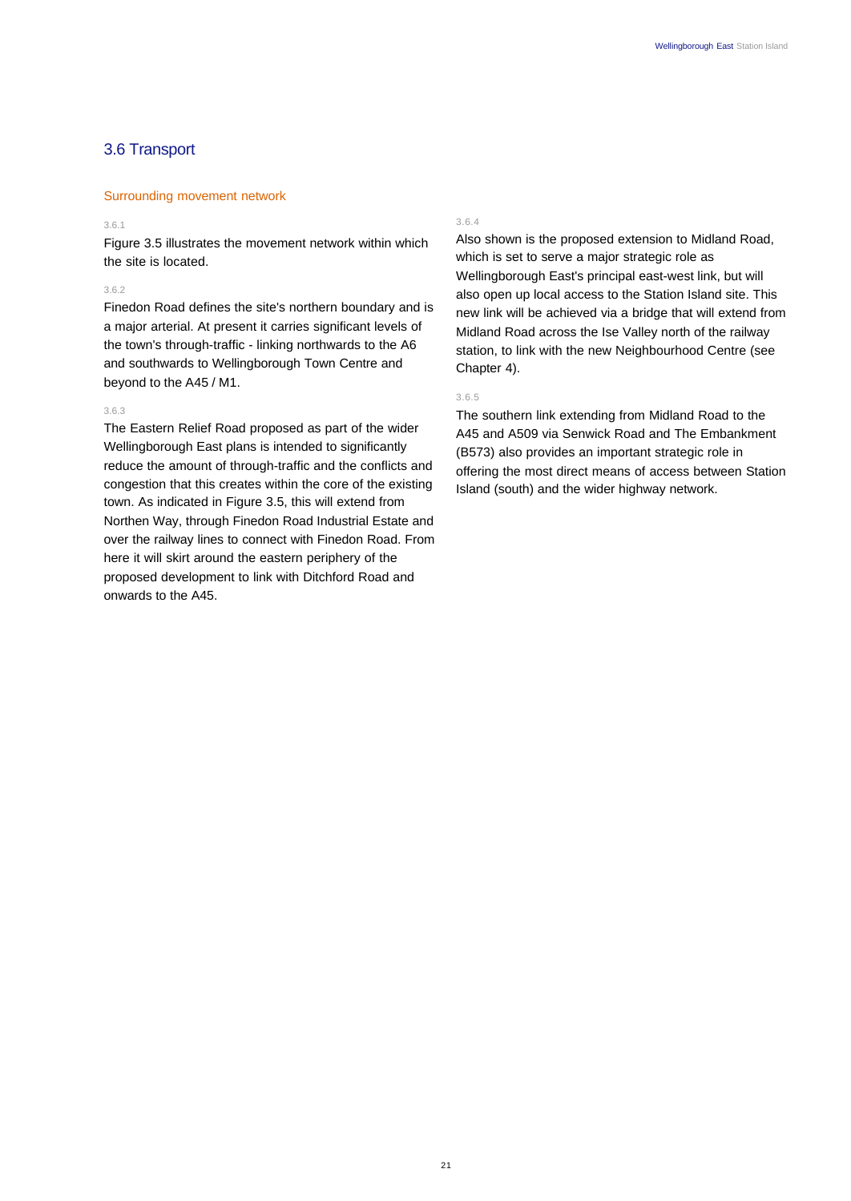# 3.6 Transport

# Surrounding movement network

## 3.6.1

Figure 3.5 illustrates the movement network within which the site is located.

# 3.6.2

Finedon Road defines the site's northern boundary and is a major arterial. At present it carries significant levels of the town's through-traffic - linking northwards to the A6 and southwards to Wellingborough Town Centre and beyond to the A45 / M1.

#### 3.6.3

The Eastern Relief Road proposed as part of the wider Wellingborough East plans is intended to significantly reduce the amount of through-traffic and the conflicts and congestion that this creates within the core of the existing town. As indicated in Figure 3.5, this will extend from Northen Way, through Finedon Road Industrial Estate and over the railway lines to connect with Finedon Road. From here it will skirt around the eastern periphery of the proposed development to link with Ditchford Road and onwards to the A45.

# 3.6.4

Also shown is the proposed extension to Midland Road, which is set to serve a major strategic role as Wellingborough East's principal east-west link, but will also open up local access to the Station Island site. This new link will be achieved via a bridge that will extend from Midland Road across the Ise Valley north of the railway station, to link with the new Neighbourhood Centre (see Chapter 4).

# 3.6.5

The southern link extending from Midland Road to the A45 and A509 via Senwick Road and The Embankment (B573) also provides an important strategic role in offering the most direct means of access between Station Island (south) and the wider highway network.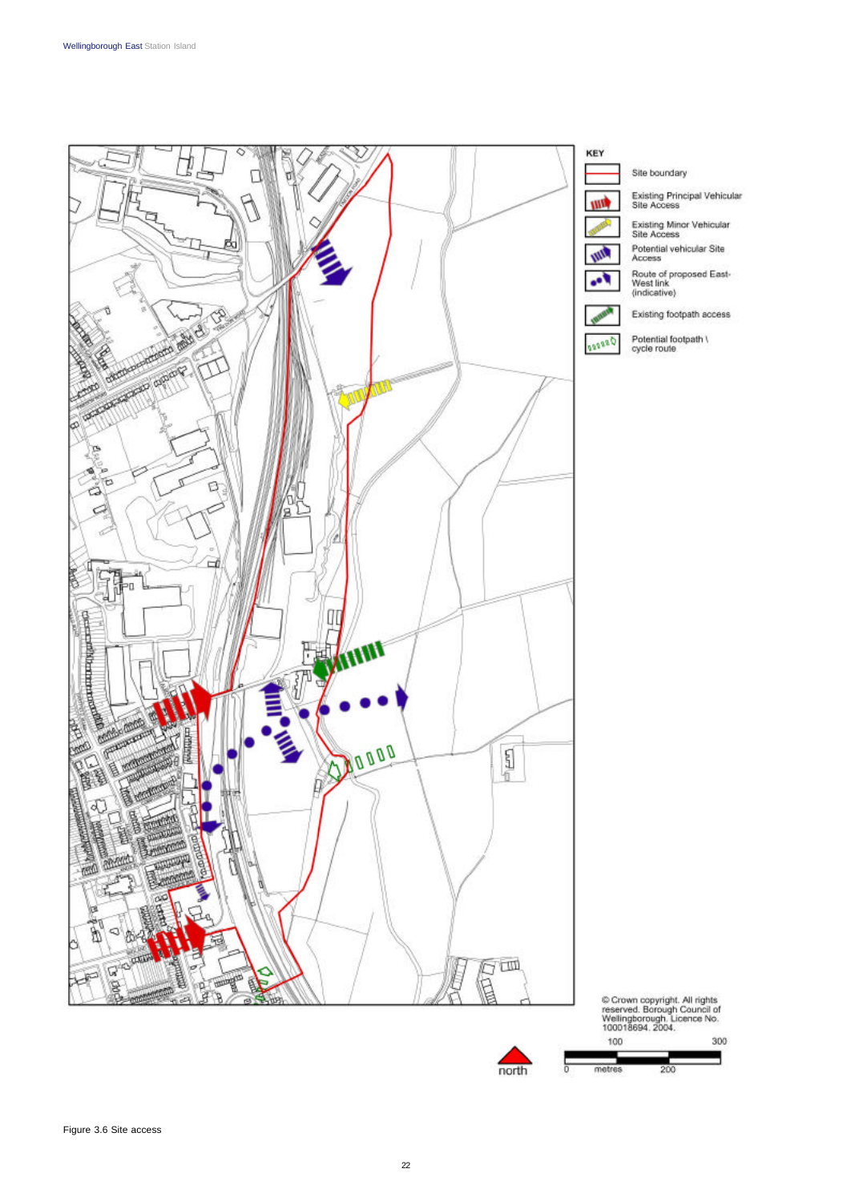